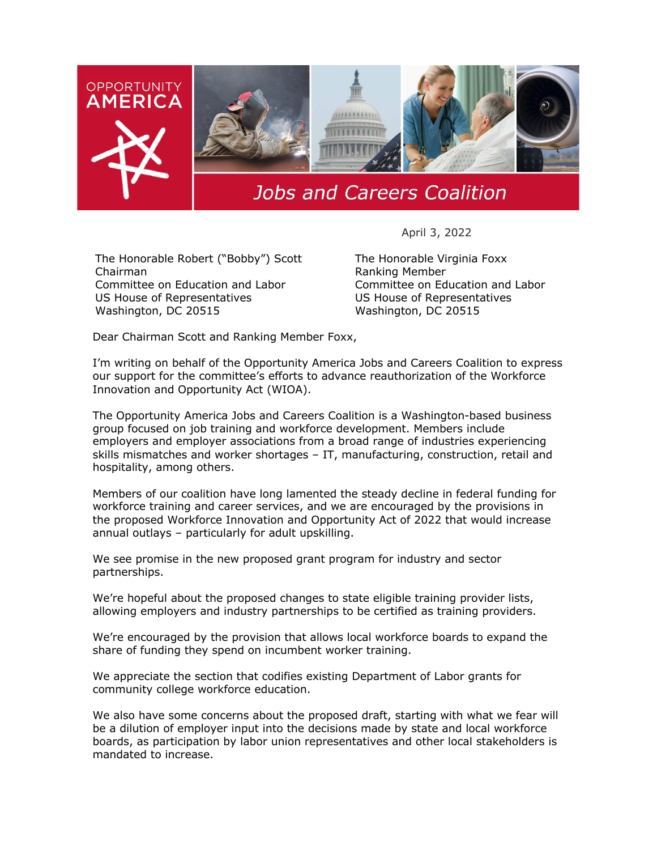

## **Jobs and Careers Coalition**

April 3, 2022

The Honorable Robert ("Bobby") Scott Chairman Committee on Education and Labor US House of Representatives Washington, DC 20515

The Honorable Virginia Foxx Ranking Member Committee on Education and Labor US House of Representatives Washington, DC 20515

Dear Chairman Scott and Ranking Member Foxx,

I'm writing on behalf of the Opportunity America Jobs and Careers Coalition to express our support for the committee's efforts to advance reauthorization of the Workforce Innovation and Opportunity Act (WIOA).

The Opportunity America Jobs and Careers Coalition is a Washington-based business group focused on job training and workforce development. Members include employers and employer associations from a broad range of industries experiencing skills mismatches and worker shortages – IT, manufacturing, construction, retail and hospitality, among others.

Members of our coalition have long lamented the steady decline in federal funding for workforce training and career services, and we are encouraged by the provisions in the proposed Workforce Innovation and Opportunity Act of 2022 that would increase annual outlays – particularly for adult upskilling.

We see promise in the new proposed grant program for industry and sector partnerships.

We're hopeful about the proposed changes to state eligible training provider lists, allowing employers and industry partnerships to be certified as training providers.

We're encouraged by the provision that allows local workforce boards to expand the share of funding they spend on incumbent worker training.

We appreciate the section that codifies existing Department of Labor grants for community college workforce education.

We also have some concerns about the proposed draft, starting with what we fear will be a dilution of employer input into the decisions made by state and local workforce boards, as participation by labor union representatives and other local stakeholders is mandated to increase.